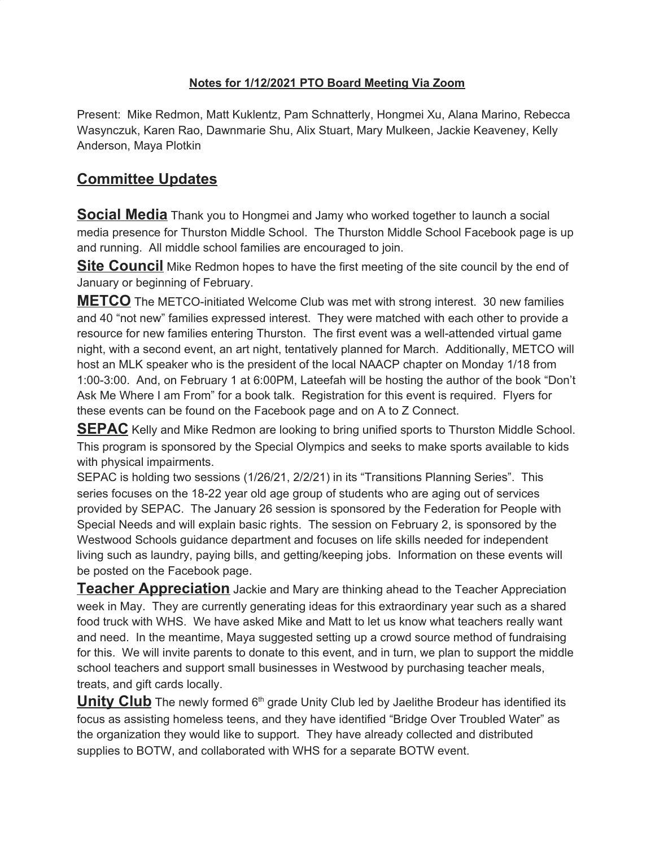## **Notes for 1/12/2021 PTO Board Meeting Via Zoom**

Present: Mike Redmon, Matt Kuklentz, Pam Schnatterly, Hongmei Xu, Alana Marino, Rebecca Wasynczuk, Karen Rao, Dawnmarie Shu, Alix Stuart, Mary Mulkeen, Jackie Keaveney, Kelly Anderson, Maya Plotkin

## **Committee Updates**

**Social Media** Thank you to Hongmei and Jamy who worked together to launch a social media presence for Thurston Middle School. The Thurston Middle School Facebook page is up and running. All middle school families are encouraged to join.

**Site Council** Mike Redmon hopes to have the first meeting of the site council by the end of January or beginning of February.

**METCO** The METCO-initiated Welcome Club was met with strong interest. 30 new families and 40 "not new" families expressed interest. They were matched with each other to provide a resource for new families entering Thurston. The first event was a well-attended virtual game night, with a second event, an art night, tentatively planned for March. Additionally, METCO will host an MLK speaker who is the president of the local NAACP chapter on Monday 1/18 from 1:00-3:00. And, on February 1 at 6:00PM, Lateefah will be hosting the author of the book "Don't Ask Me Where I am From" for a book talk. Registration for this event is required. Flyers for these events can be found on the Facebook page and on A to Z Connect.

**SEPAC** Kelly and Mike Redmon are looking to bring unified sports to Thurston Middle School. This program is sponsored by the Special Olympics and seeks to make sports available to kids with physical impairments.

SEPAC is holding two sessions (1/26/21, 2/2/21) in its "Transitions Planning Series". This series focuses on the 18-22 year old age group of students who are aging out of services provided by SEPAC. The January 26 session is sponsored by the Federation for People with Special Needs and will explain basic rights. The session on February 2, is sponsored by the Westwood Schools guidance department and focuses on life skills needed for independent living such as laundry, paying bills, and getting/keeping jobs. Information on these events will be posted on the Facebook page.

**Teacher Appreciation** Jackie and Mary are thinking ahead to the Teacher Appreciation week in May. They are currently generating ideas for this extraordinary year such as a shared food truck with WHS. We have asked Mike and Matt to let us know what teachers really want and need. In the meantime, Maya suggested setting up a crowd source method of fundraising for this. We will invite parents to donate to this event, and in turn, we plan to support the middle school teachers and support small businesses in Westwood by purchasing teacher meals, treats, and gift cards locally.

Unity Club The newly formed 6<sup>th</sup> grade Unity Club led by Jaelithe Brodeur has identified its focus as assisting homeless teens, and they have identified "Bridge Over Troubled Water" as the organization they would like to support. They have already collected and distributed supplies to BOTW, and collaborated with WHS for a separate BOTW event.